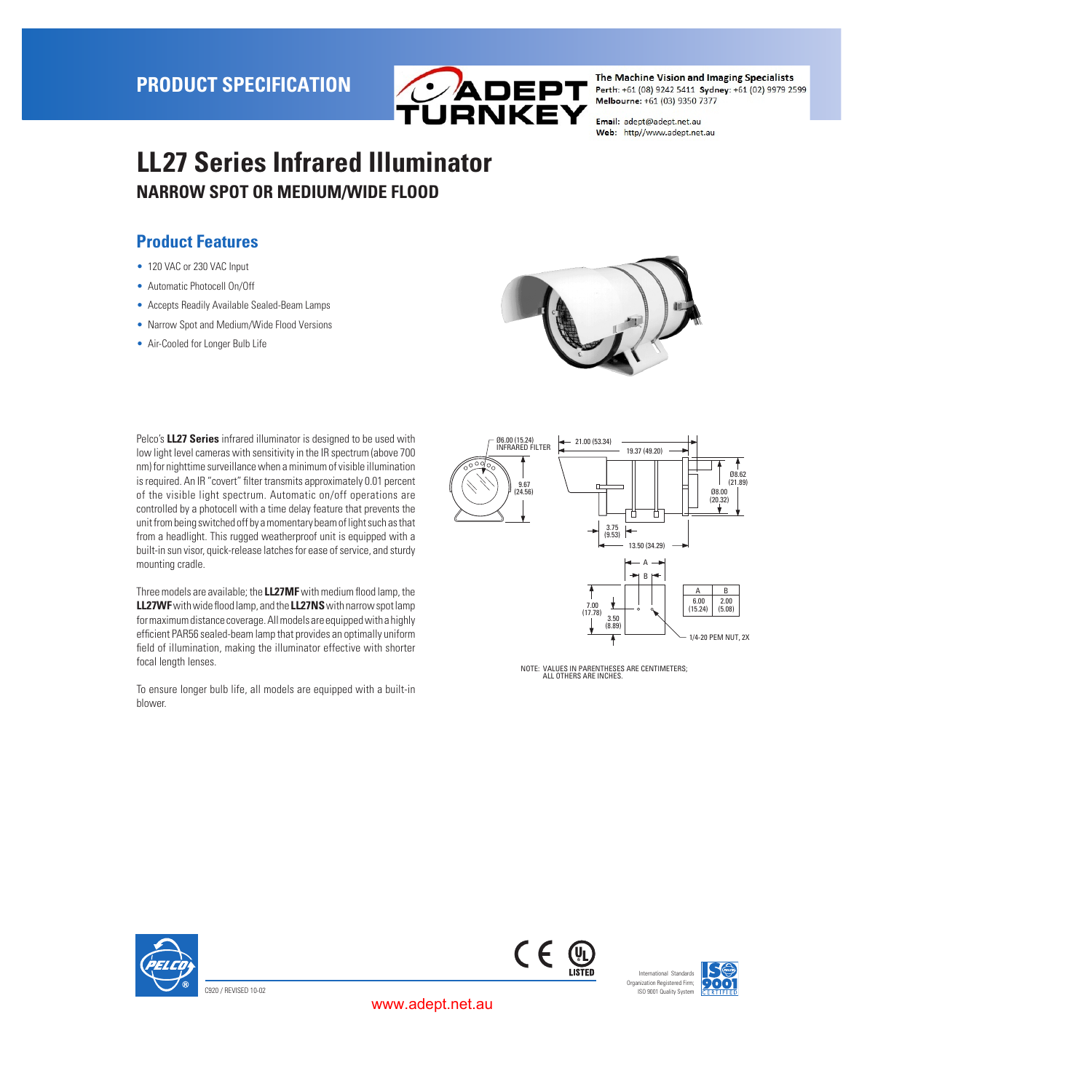

Email: adept@adept.net.au Web: http//www.adept.net.au

# **LL27 Series Infrared Illuminator NARROW SPOT OR MEDIUM/WIDE FLOOD**

### **Product Features**

- 120 VAC or 230 VAC Input
- Automatic Photocell On/Off
- Accepts Readily Available Sealed-Beam Lamps
- Narrow Spot and Medium/Wide Flood Versions
- Air-Cooled for Longer Bulb Life



Pelco's **LL27 Series** infrared illuminator is designed to be used with low light level cameras with sensitivity in the IR spectrum (above 700 nm) for nighttime surveillance when a minimum of visible illumination is required. An IR "covert" filter transmits approximately 0.01 percent of the visible light spectrum. Automatic on/off operations are controlled by a photocell with a time delay feature that prevents the unit from being switched off by a momentary beam of light such as that from a headlight. This rugged weatherproof unit is equipped with a built-in sun visor, quick-release latches for ease of service, and sturdy mounting cradle.

Three models are available; the **LL27MF** with medium flood lamp, the **LL27WF** with wide flood lamp, and the **LL27NS** with narrow spot lamp for maximum distance coverage. All models are equipped with a highly efficient PAR56 sealed-beam lamp that provides an optimally uniform field of illumination, making the illuminator effective with shorter focal length lenses.

To ensure longer bulb life, all models are equipped with a built-in blower.



NOTE: VALUES IN PARENTHESES ARE CENTIMETERS; ALL OTHERS ARE INCHES.







www.adept.net.au